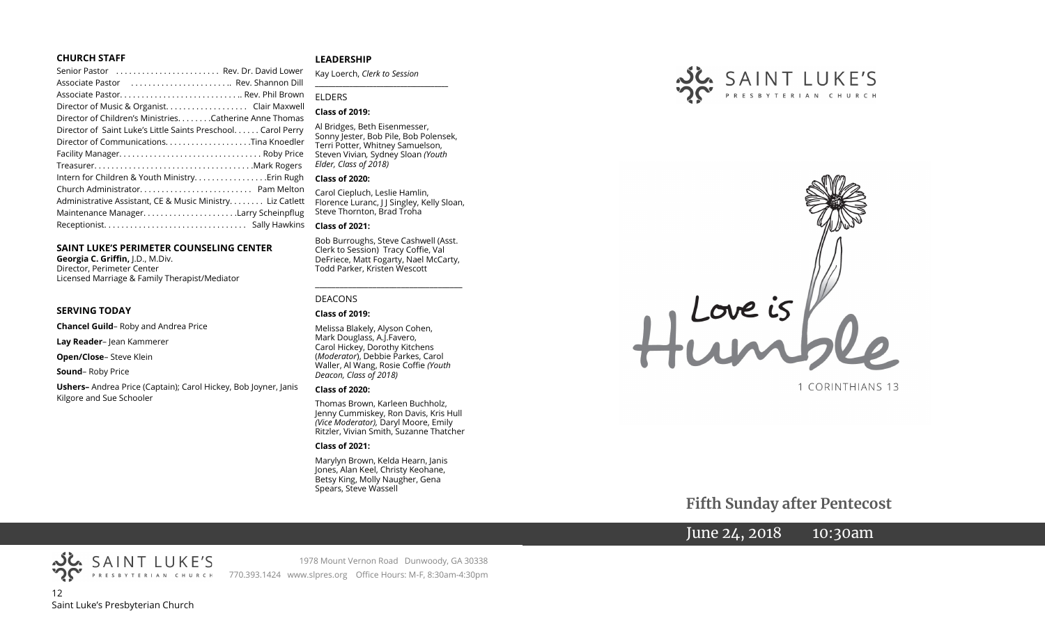#### **CHURCH STAFF**

| Senior Pastor (etc Rev. Dr. David Lower                      |
|--------------------------------------------------------------|
| Associate Pastor  Rev. Shannon Dill                          |
| Associate Pastor Rev. Phil Brown                             |
| Director of Music & Organist. Clair Maxwell                  |
| Director of Children's Ministries. Catherine Anne Thomas     |
| Director of Saint Luke's Little Saints Preschool Carol Perry |
| Director of CommunicationsTina Knoedler                      |
|                                                              |
|                                                              |
| Intern for Children & Youth MinistryErin Rugh                |
|                                                              |
| Administrative Assistant, CE & Music Ministry Liz Catlett    |
| Maintenance ManagerLarry Scheinpflug                         |
|                                                              |
|                                                              |

#### **SAINT LUKE'S PERIMETER COUNSELING CENTER**

**Georgia C. Griffin,** J.D., M.Div. Director, Perimeter Center Licensed Marriage & Family Therapist/Mediator

#### **SERVING TODAY**

**Chancel Guild**– Roby and Andrea Price

**Lay Reader**– Jean Kammerer

**Open/Close**– Steve Klein

**Sound**– Roby Price

**Ushers–** Andrea Price (Captain); Carol Hickey, Bob Joyner, Janis Kilgore and Sue Schooler

#### **LEADERSHIP**

Kay Loerch, *Clerk to Session* 

**\_\_\_\_\_\_\_\_\_\_\_\_\_\_\_\_\_\_\_\_\_\_\_\_\_\_\_\_\_\_\_\_\_\_\_\_\_\_\_**

#### ELDERS

#### **Class of 2019:**

Al Bridges, Beth Eisenmesser, Sonny Jester, Bob Pile, Bob Polensek, Terri Potter, Whitney Samuelson, Steven Vivian*,* Sydney Sloan *(Youth Elder, Class of 2018)*

#### **Class of 2020:**

Carol Ciepluch, Leslie Hamlin, Florence Luranc, J J Singley, Kelly Sloan, Steve Thornton, Brad Troha

#### **Class of 2021:**

Bob Burroughs, Steve Cashwell (Asst. Clerk to Session) Tracy Coffie, Val DeFriece, Matt Fogarty, Nael McCarty, Todd Parker, Kristen Wescott

\_\_\_\_\_\_\_\_\_\_\_\_\_\_\_\_\_\_\_\_\_\_\_\_\_\_\_\_\_\_\_\_\_\_\_\_

#### DEACONS

#### **Class of 2019:**

Melissa Blakely, Alyson Cohen, Mark Douglass, A.J.Favero, Carol Hickey, Dorothy Kitchens (*Moderator*), Debbie Parkes, Carol Waller, Al Wang, Rosie Coffie *(Youth Deacon, Class of 2018)* 

#### **Class of 2020:**

Thomas Brown, Karleen Buchholz, Jenny Cummiskey, Ron Davis, Kris Hull *(Vice Moderator),* Daryl Moore, Emily Ritzler, Vivian Smith, Suzanne Thatcher

#### **Class of 2021:**

Marylyn Brown, Kelda Hearn, Janis Jones, Alan Keel, Christy Keohane, Betsy King, Molly Naugher, Gena Spears, Steve Wassell





1 CORINTHIANS 13

# **Fifth Sunday after Pentecost**

June 24, 2018 10:30am



1978 Mount Vernon Road Dunwoody, GA 30338 770.393.1424 www.slpres.org Office Hours: M-F, 8:30am-4:30pm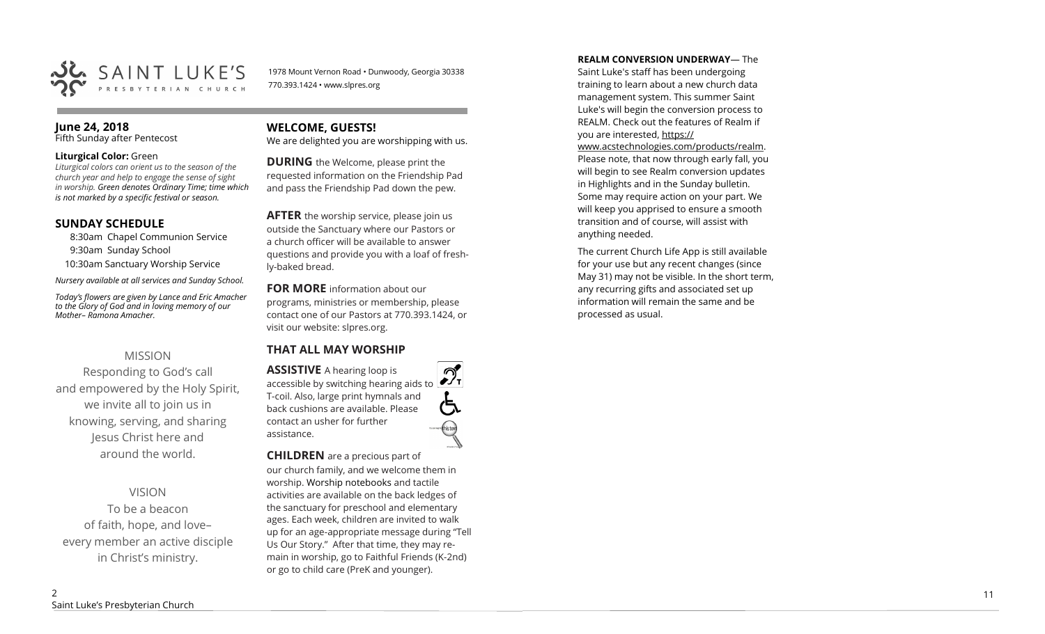

1978 Mount Vernon Road • Dunwoody, Georgia 30338 770.393.1424 • www.slpres.org

#### **June 24, 2018**

Fifth Sunday after Pentecost

#### **Liturgical Color:** Green

*Liturgical colors can orient us to the season of the church year and help to engage the sense of sight in worship. Green denotes Ordinary Time; time which is not marked by a specific festival or season.*

## **SUNDAY SCHEDULE**

8:30am Chapel Communion Service

9:30am Sunday School

10:30am Sanctuary Worship Service

*Nursery available at all services and Sunday School.* 

*Today 's flowers are given by Lance and Eric Amacher to the Glory of God and in loving memory of our Mother– Ramona Amacher.* 

## MISSION

Responding to God 's call and empowered by the Holy Spirit, we invite all to join us in knowing, serving, and sharing Jesus Christ here and around the world.

VISION

To be a beacon of faith, hope, and love – every member an active disciple in Christ 's ministry.

## **WELCOME, GUESTS!**

We are delighted you are worshipping with us.

**DURING** the Welcome, please print the requested information on the Friendship Pad and pass the Friendship Pad down the pew.

**AFTER** the worship service, please join us outside the Sanctuary where our Pastors or a church officer will be available to answer questions and provide you with a loaf of freshly-baked bread.

**FOR MORE** information about our programs, ministries or membership, please contact one of our Pastors at 770.393.1424, or visit our website: slpres.org.

## **THAT ALL MAY WORSHIP**

**ASSISTIVE** A hearing loop is  $\mathcal{D}_{\mathrm{r}}$ accessible by switching hearing aids to T-coil. Also, large print hymnals and back cushions are available. Please contact an usher for further assistance.

#### **CHILDREN** are a precious part of our church family, and we welcome them in worship. Worship notebooks and tactile activities are available on the back ledges of

the sanctuary for preschool and elementary ages. Each week, children are invited to walk up for an age -appropriate message during "Tell Us Our Story." After that time, they may remain in worship, go to Faithful Friends (K-2nd) or go to child care (PreK and younger).

**REALM CONVERSION UNDERWAY** — The Saint Luke's staff has been undergoing training to learn about a new church data management system. This summer Saint Luke's will begin the conversion process to REALM. Check out the features of Realm if you are interested, https:// www.acstechnologies.com/products/realm. Please note, that now through early fall, you will begin to see Realm conversion updates in Highlights and in the Sunday bulletin. Some may require action on your part. We will keep you apprised to ensure a smooth transition and of course, will assist with anything needed.

The current Church Life App is still available for your use but any recent changes (since May 31) may not be visible. In the short term, any recurring gifts and associated set up information will remain the same and be processed as usual.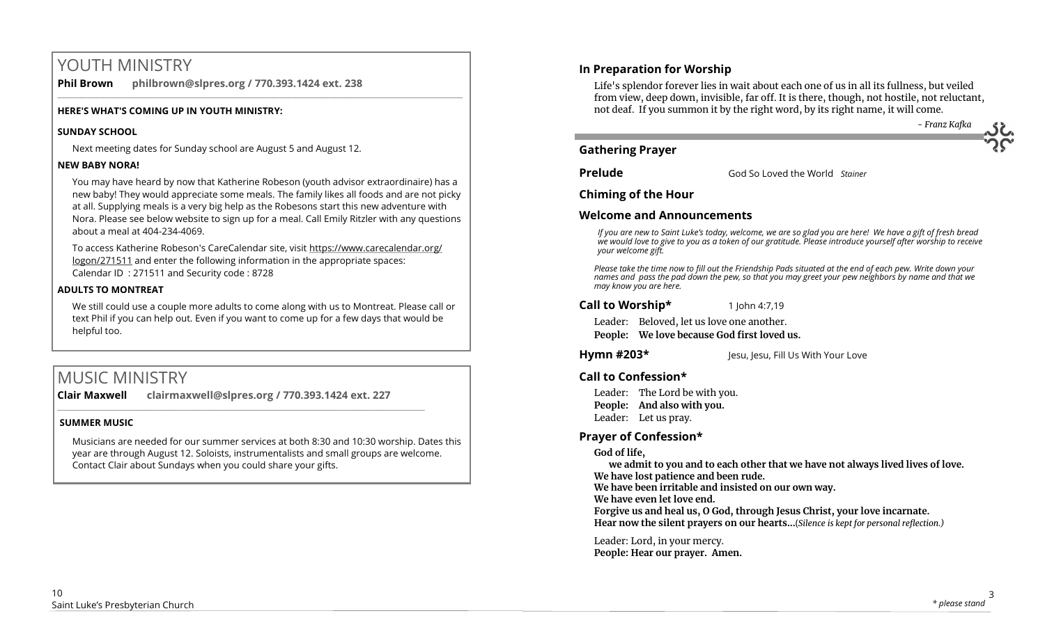# YOUTH MINISTRY

**Phil Brown philbrown@slpres.org / 770.393.1424 ext. 238**   $\_$  ,  $\_$  ,  $\_$  ,  $\_$  ,  $\_$  ,  $\_$  ,  $\_$  ,  $\_$  ,  $\_$  ,  $\_$  ,  $\_$  ,  $\_$  ,  $\_$  ,  $\_$  ,  $\_$  ,  $\_$  ,  $\_$  ,  $\_$  ,  $\_$  ,  $\_$  ,  $\_$  ,  $\_$  ,  $\_$  ,  $\_$  ,  $\_$  ,  $\_$  ,  $\_$  ,  $\_$  ,  $\_$  ,  $\_$  ,  $\_$  ,  $\_$  ,  $\_$  ,  $\_$  ,  $\_$  ,  $\_$  ,  $\_$  ,

#### **HERE'S WHAT'S COMING UP IN YOUTH MINISTRY:**

#### **SUNDAY SCHOOL**

Next meeting dates for Sunday school are August 5 and August 12.

#### **NEW BABY NORA!**

You may have heard by now that Katherine Robeson (youth advisor extraordinaire) has a new baby! They would appreciate some meals. The family likes all foods and are not picky at all. Supplying meals is a very big help as the Robesons start this new adventure with Nora. Please see below website to sign up for a meal. Call Emily Ritzler with any questions about a meal at 404-234-4069.

To access Katherine Robeson's CareCalendar site, visit [https://www.carecalendar.org/](https://www.carecalendar.org/logon/271511) [logon/271511](https://www.carecalendar.org/logon/271511) and enter the following information in the appropriate spaces: Calendar ID : 271511 and Security code : 8728

## **ADULTS TO MONTREAT**

We still could use a couple more adults to come along with us to Montreat. Please call or text Phil if you can help out. Even if you want to come up for a few days that would be helpful too.

# MUSIC MINISTRY

**Clair Maxwell clairmaxwell@slpres.org / 770.393.1424 ext. 227** 

 $\_$  , and the set of the set of the set of the set of the set of the set of the set of the set of the set of the set of the set of the set of the set of the set of the set of the set of the set of the set of the set of th

## **SUMMER MUSIC**

Musicians are needed for our summer services at both 8:30 and 10:30 worship. Dates this year are through August 12. Soloists, instrumentalists and small groups are welcome. Contact Clair about Sundays when you could share your gifts.

## **In Preparation for Worship**

Life's splendor forever lies in wait about each one of us in all its fullness, but veiled from view, deep down, invisible, far off. It is there, though, not hostile, not reluctant, not deaf. If you summon it by the right word, by its right name, it will come.

## **Gathering Prayer**

**Prelude** God So Loved the World *Stainer*

**Chiming of the Hour**

## **Welcome and Announcements**

*If you are new to Saint Luke's today, welcome, we are so glad you are here! We have a gift of fresh bread we would love to give to you as a token of our gratitude. Please introduce yourself after worship to receive your welcome gift.*

*Please take the time now to fill out the Friendship Pads situated at the end of each pew. Write down your names and pass the pad down the pew, so that you may greet your pew neighbors by name and that we may know you are here.*

## Call to Worship\* 1 John 4:7.19

Leader: Beloved, let us love one another.

**People: We love because God first loved us.**

**Hymn #203\*** Jesu, Jesu, Fill Us With Your Love

## **Call to Confession\***

Leader: The Lord be with you. **People: And also with you.** Leader: Let us pray.

## **Prayer of Confession\***

## **God of life,**

**we admit to you and to each other that we have not always lived lives of love. We have lost patience and been rude.**

**We have been irritable and insisted on our own way.**

**We have even let love end.**

**Forgive us and heal us, O God, through Jesus Christ, your love incarnate. Hear now the silent prayers on our hearts...**(*Silence is kept for personal reflection.)*

Leader: Lord, in your mercy. **People: Hear our prayer. Amen.**  *- Franz Kafka*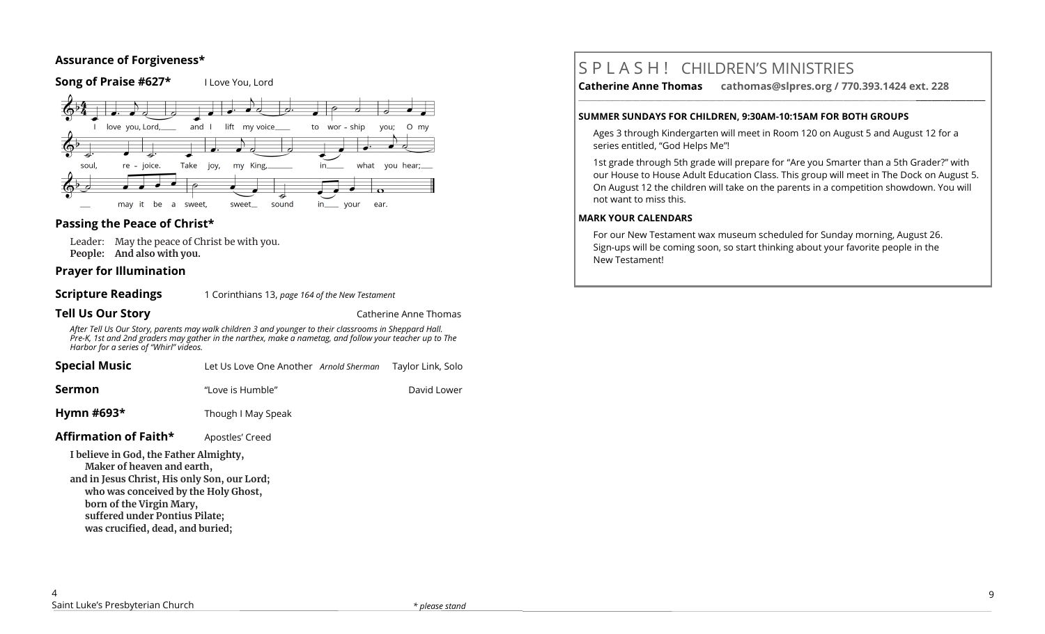## **Assurance of Forgiveness\***



#### **Passing the Peace of Christ\***

Leader: May the peace of Christ be with you. **People: And also with you.** 

#### **Prayer for Illumination**

| <b>Scripture Readings</b> | 1 Corinthians 13, page 164 of the New Testament |  |
|---------------------------|-------------------------------------------------|--|
| <b>Tell Us Our Story</b>  | Catherine Anne Thomas                           |  |

*After Tell Us Our Story, parents may walk children 3 and younger to their classrooms in Sheppard Hall. Pre-K, 1st and 2nd graders may gather in the narthex, make a nametag, and follow your teacher up to The Harbor for a series of "Whirl" videos.*

| <b>Special Music</b>                                                                                                                                                                     | Let Us Love One Another Arnold Sherman | Taylor Link, Solo |  |
|------------------------------------------------------------------------------------------------------------------------------------------------------------------------------------------|----------------------------------------|-------------------|--|
| Sermon                                                                                                                                                                                   | "Love is Humble"                       | David Lower       |  |
| Hymn #693 $*$                                                                                                                                                                            | Though I May Speak                     |                   |  |
| Affirmation of Faith*                                                                                                                                                                    | Apostles' Creed                        |                   |  |
| I believe in God, the Father Almighty,<br>Maker of heaven and earth,<br>and in Jesus Christ, His only Son, our Lord;<br>who was conceived by the Holy Ghost,<br>born of the Virgin Mary, |                                        |                   |  |

**suffered under Pontius Pilate; was crucified, dead, and buried;**

# S P L A S H ! CHILDREN'S MINISTRIES

**Catherine Anne Thomas cathomas@slpres.org / 770.393.1424 ext. 228** 

**\_\_\_\_\_\_\_\_\_\_\_\_\_\_\_\_\_\_\_\_\_\_\_\_\_\_\_\_\_\_\_\_\_\_\_\_\_\_\_\_\_\_\_\_\_\_\_\_\_\_\_\_\_\_\_\_\_\_\_\_\_\_\_\_\_\_\_\_\_\_\_\_\_\_\_\_\_\_\_\_\_\_\_\_\_\_\_\_\_\_\_\_\_\_\_\_\_\_\_\_\_\_\_\_\_\_** 

#### **SUMMER SUNDAYS FOR CHILDREN, 9:30AM-10:15AM FOR BOTH GROUPS**

Ages 3 through Kindergarten will meet in Room 120 on August 5 and August 12 for a series entitled, "God Helps Me"!

1st grade through 5th grade will prepare for "Are you Smarter than a 5th Grader?" with our House to House Adult Education Class. This group will meet in The Dock on August 5. On August 12 the children will take on the parents in a competition showdown. You will not want to miss this.

#### **MARK YOUR CALENDARS**

For our New Testament wax museum scheduled for Sunday morning, August 26. Sign-ups will be coming soon, so start thinking about your favorite people in the New Testament!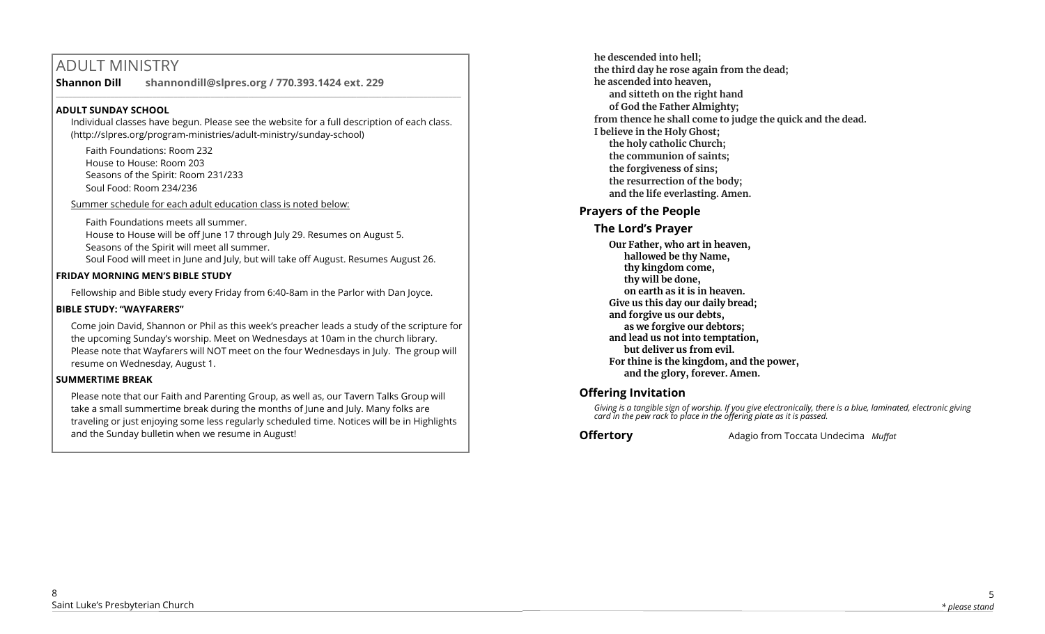# ADULT MINISTRY

**Shannon Dill shannondill@slpres.org / 770.393.1424 ext. 229**   $\_$  ,  $\_$  ,  $\_$  ,  $\_$  ,  $\_$  ,  $\_$  ,  $\_$  ,  $\_$  ,  $\_$  ,  $\_$  ,  $\_$  ,  $\_$  ,  $\_$  ,  $\_$  ,  $\_$  ,  $\_$  ,  $\_$  ,  $\_$  ,  $\_$ 

## **ADULT SUNDAY SCHOOL**

Individual classes have begun. Please see the website for a full description of each class. (http://slpres.org/program-ministries/adult-ministry/sunday-school)

Faith Foundations: Room 232 House to House: Room 203 Seasons of the Spirit: Room 231/233 Soul Food: Room 234/236

Summer schedule for each adult education class is noted below:

Faith Foundations meets all summer. House to House will be off June 17 through July 29. Resumes on August 5. Seasons of the Spirit will meet all summer. Soul Food will meet in June and July, but will take off August. Resumes August 26.

## **FRIDAY MORNING MEN'S BIBLE STUDY**

Fellowship and Bible study every Friday from 6:40-8am in the Parlor with Dan Joyce.

## **BIBLE STUDY: "WAYFARERS"**

Come join David, Shannon or Phil as this week's preacher leads a study of the scripture for the upcoming Sunday's worship. Meet on Wednesdays at 10am in the church library. Please note that Wayfarers will NOT meet on the four Wednesdays in July. The group will resume on Wednesday, August 1.

## **SUMMERTIME BREAK**

Please note that our Faith and Parenting Group, as well as, our Tavern Talks Group will take a small summertime break during the months of June and July. Many folks are traveling or just enjoying some less regularly scheduled time. Notices will be in Highlights and the Sunday bulletin when we resume in August!

**he descended into hell; the third day he rose again from the dead; he ascended into heaven, and sitteth on the right hand of God the Father Almighty; from thence he shall come to judge the quick and the dead. I believe in the Holy Ghost; the holy catholic Church; the communion of saints; the forgiveness of sins; the resurrection of the body; and the life everlasting. Amen.**

## **Prayers of the People**

## **The Lord's Prayer**

**Our Father, who art in heaven, hallowed be thy Name, thy kingdom come, thy will be done, on earth as it is in heaven. Give us this day our daily bread; and forgive us our debts, as we forgive our debtors; and lead us not into temptation, but deliver us from evil. For thine is the kingdom, and the power, and the glory, forever. Amen.**

## **Offering Invitation**

*Giving is a tangible sign of worship. If you give electronically, there is a blue, laminated, electronic giving card in the pew rack to place in the offering plate as it is passed.*

**Offertory Adagio from Toccata Undecima** *Muffat*